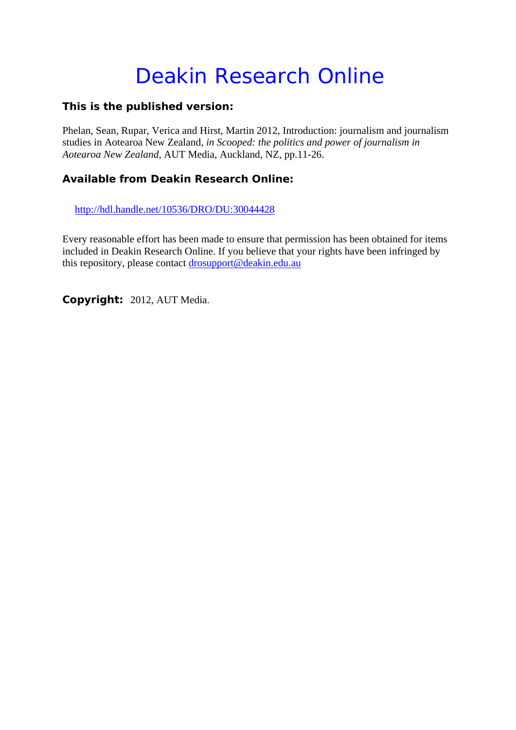# Deakin Research Online

#### **This is the published version:**

Phelan, Sean, Rupar, Verica and Hirst, Martin 2012, Introduction: journalism and journalism studies in Aotearoa New Zealand*, in Scooped: the politics and power of journalism in Aotearoa New Zealand*, AUT Media, Auckland, NZ, pp.11-26.

#### **Available from Deakin Research Online:**

http://hdl.handle.net/10536/DRO/DU:30044428

Every reasonable effort has been made to ensure that permission has been obtained for items included in Deakin Research Online. If you believe that your rights have been infringed by this repository, please contact drosupport@deakin.edu.au

**Copyright:** 2012, AUT Media.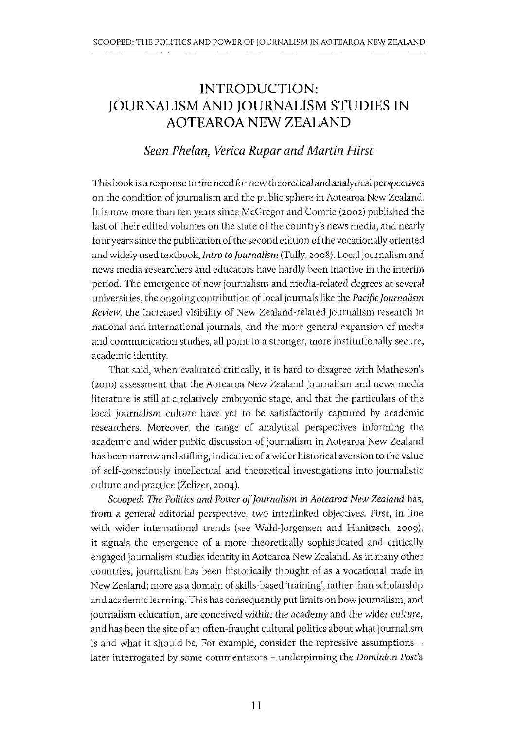# INTRODUCTION: JOURNALISM AND JOURNALISM STUDIES IN AOTEAROA NEW ZEALAND

#### *Sean Phelan, Verica Rupar and Martin Hirst*

This book is a response to the need for new theoretical and analytical perspectives on the condition of journalism and the public sphere in Aotearoa New Zealand. It is now more than ten years since McGregor and Comrie (2002) published the last of their edited volumes on the state of the country's news media, and nearly four years since the publication of the second edition of the vocationally oriented and widely used textbook, *Intro to Journalism* (Tully, 2008). Local journalism and news media researchers and educators have hardly been inactive in the interim period. The emergence of new journalism and media-related degrees at several universities, the ongoing contribution oflocal journals like the *Pacific Journalism Review,* the increased visibility of New Zealand-related journalism research in national and international journals, and the more general expansion of media and communication studies, all point to a stronger, more institutionally secure, academic identity.

That said, when evaluated critically, it is hard to disagree with Matheson's (20ID) assessment that the Aotearoa New Zealand journalism and news media literature is still at a relatively embryonic stage, and that the particulars of the local journalism culture have yet to be satisfactorily captured by academic researchers. Moreover, the range of analytical perspectives informing the academic and wider public discussion of journalism in Aotearoa New Zealand has been narrow and stifling, indicative of a wider historical aversion to the value of self-consciously intellectual and theoretical investigations into journalistic culture and practice (Zelizer, 2004).

*Scooped: The Politics and Power of Journalism in Aotearoa New Zealand* has, from a general editorial perspective, two interlinked objectives. First, in line with wider international trends (see Wahl-Jorgensen and Hanitzsch, 2009), it signals the emergence of a more theoretically sophisticated and critically engaged journalism studies identity in Aotearoa New Zealand. As in many other countries, journalism has been historically thought of as a vocational trade in New Zealand; more as a domain of skills-based 'training', rather than scholarship and academic learning. This has consequently put limits on how journalism, and journalism education, are conceived within the academy and the wider culture, and has been the site of an often-fraught cultural politics about what journalism is and what it should be. For example, consider the repressive assumptions later interrogated by some commentators - underpinning the *Dominion Post's*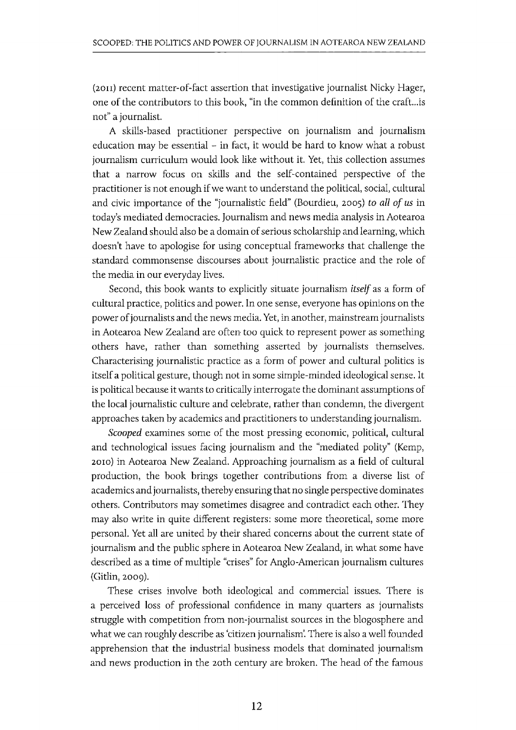(2on) recent matter-of-fact assertion that investigative journalist Nicky Hager, one of the contributors to this book, "in the common definition of the craft...is not" a journalist.

A skills-based practitioner perspective on journalism and journalism education may be essential - in fact, it would be hard to know what a robust journalism curriculum would look like without it. Yet, this collection assumes that a narrow focus on skills and the self-contained perspective of the practitioner is not enough if we want to understand the political, social, cultural and civic importance of the "journalistic field" (Bourdieu, 2005) *to all of us* in today's mediated democracies. Journalism and news media analysis in Aotearoa New Zealand should also be a domain of serious scholarship and learning, which doesn't have to apologise for using conceptual frameworks that challenge the standard commonsense discourses about journalistic practice and the role of the media in our everyday lives.

Second, this book wants to explicitly situate journalism *itself* as a form of cultural practice, politics and power. In one sense, everyone has opinions on the power of journalists and the news media. Yet, in another, mainstream journalists in Aotearoa New Zealand are often too quick to represent power as something others have, rather than something asserted by journalists themselves. Characterising journalistic practice as a form of power and cultural politics is itself a political gesture, though not in some simple-minded ideological sense. It is political because it wants to critically interrogate the dominant assumptions of the local journalistic culture and celebrate, rather than condemn, the divergent approaches taken by academics and practitioners to understanding journalism.

*Scooped* examines some of the most pressing economic, political, cultural and technological issues facing journalism and the "mediated polity" (Kemp, 2010) in Aotearoa New Zealand. Approaching journalism as a field of cultural production, the book brings together contributions from a diverse list of academics and journalists, thereby ensuring that no single perspective dominates others. Contributors may sometimes disagree and contradict each other. They may also write in quite different registers: some more theoretical, some more personal. Yet all are united by their shared concerns about the current state of journalism and the public sphere in Aotearoa New Zealand, in what some have described as a time of multiple "crises" for Anglo-American journalism cultures (Gitlin, 2009).

These crises involve both ideological and commercial issues. There is a perceived loss of professional confidence in many quarters as journalists struggle with competition from non-journalist sources in the blogosphere and what we can roughly describe as 'citizen journalism'. There is also a well founded apprehension that the industrial business models that dominated journalism and news production in the 20th century are broken. The head of the famous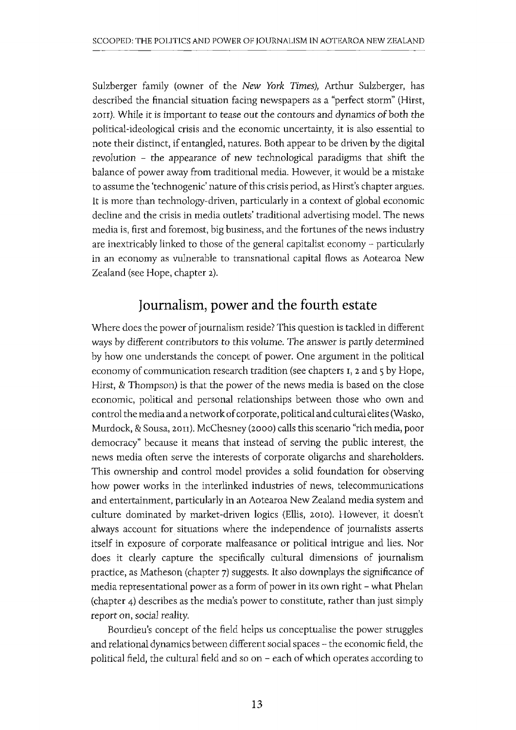Sulzberger family (owner of the *New York Times),* Arthur Sulzberger, has described the financial situation facing newspapers as a "perfect storm" (Hirst, 20II). While it is important to tease out the contours and dynamics of both the political-ideological crisis and the economic uncertainty, it is also essential to note their distinct, if entangled, natures. Both appear to be driven by the digital revolution - the appearance of new technological paradigms that shift the balance of power away from traditional media. However, it would be a mistake to assume the 'technogenic' nature of this crisis period, as Hirst's chapter argues. It is more than technology-driven, particularly in a context of global economic decline and the crisis in media outlets' traditional advertising model. The news media is, first and foremost, big business, and the fortunes of the news industry are inextricably linked to those of the general capitalist economy - particularly in an economy as vulnerable to transnational capital flows as Aotearoa New Zealand (see Hope, chapter 2).

## **Journalism, power and the fourth estate**

Where does the power of journalism reside? This question is tackled in different ways by different contributors to this volume. The answer is partly determined by how one understands the concept of power. One argument in the political economy of communication research tradition (see chapters I, 2 and 5 by Hope, Hirst, & Thompson) is that the power of the news media is based on the close economic, political and personal relationships between those who own and control the media and a network of corporate, political and cultural elites (Wasko, Murdock, & Sousa, 2011). McChesney (2000) calls this scenario "rich media, poor democracy" because it means that instead of serving the public interest, the news media often serve the interests of corporate oligarchs and shareholders. This ownership and control model provides a solid foundation for observing how power works in the interlinked industries of news, telecommunications and entertainment, particularly in an Aotearoa New Zealand media system and culture dominated by market-driven logics (Ellis, 2010). However, it doesn't always account for situations where the independence of journalists asserts itself in exposure of corporate malfeasance or political intrigue and lies. Nor does it clearly capture the specifically cultural dimensions of journalism practice, as Matheson (chapter 7) suggests. It also downplays the significance of media representational power as a form of power in its own right - what Phelan (chapter 4) describes as the media's power to constitute, rather than just simply report on, social reality.

Bourdieu's concept of the field helps us conceptualise the power struggles and relational dynamics between different social spaces - the economic field, the political field, the cultural field and so on - each of which operates according to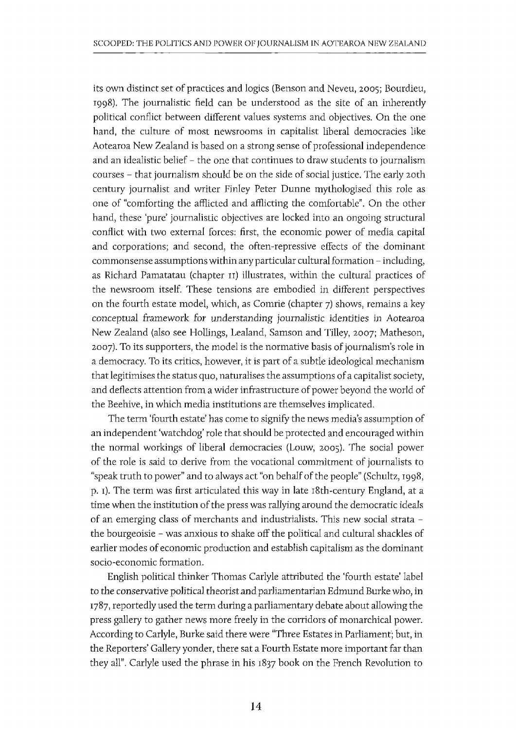its own distinct set of practices and logics (Benson and Neveu, 2005; Bourdieu, 1998). The journalistic field can be understood as the site of an inherently political conflict between different values systems and objectives. On the one hand, the culture of most newsrooms in capitalist liberal democracies like Aotearoa New Zealand is based on a strong sense of professional independence and an idealistic belief - the one that continues to draw students to journalism courses - that journalism should be on the side of social justice. The early 20th century journalist and writer Finley Peter Dunne mythologised this role as one of "comforting the afflicted and afflicting the comfortable". On the other hand, these 'pure' journalistic objectives are locked into an ongoing structural conflict with two external forces: first, the economic power of media capital and corporations; and second, the often-repressive effects of the dominant commonsense assumptions within any particular cultural formation - including, as Richard Pamatatau (chapter II) illustrates, within the cultural practices of the newsroom itself. These tensions are embodied in different perspectives on the fourth estate model, which, as Comrie (chapter 7) shows, remains a key conceptual framework for understanding journalistic identities in Aotearoa New Zealand (also see Hollings, Lealand, Samson and Tilley, 2007; Matheson, 2007). To its supporters, the model is the normative basis of journalism's role in a democracy. To its critics, however, it is part of a subtle ideological mechanism that legitimises the status quo, naturalises the assumptions of a capitalist society, and deflects attention from a wider infrastructure of power beyond the world of the Beehive, in which media institutions are themselves implicated.

The term 'fourth estate' has come to signify the news media's assumption of an independent 'watchdog' role that should be protected and encouraged within the normal workings of liberal democracies (Louw, 2005). The social power of the role is said to derive from the vocational commitment of journalists to "speak truth to power" and to always act "on behalf of the people" (Schultz, 1998, p. 1). The term was first articulated this way in late 18th-century England, at a time when the institution of the press was rallying around the democratic ideals of an emerging class of merchants and industrialists. This new social strata the bourgeoisie - was anxious to shake off the political and cultural shackles of earlier modes of economic production and establish capitalism as the dominant socio-economic formation.

English political thinker Thomas Carlyle attributed the 'fourth estate' label to the conservative political theorist and parliamentarian Edmund Burke who, in 1787, reportedly used the term during a parliamentary debate about allowing the press gallery to gather news more freely in the corridors of monarchical power. According to Carlyle, Burke said there were "Three Estates in Parliamenf; but, in the Reporters' Gallery yonder, there sat a Fourth Estate more important far than they all". Carlyle used the phrase in his 1837 book on the French Revolution to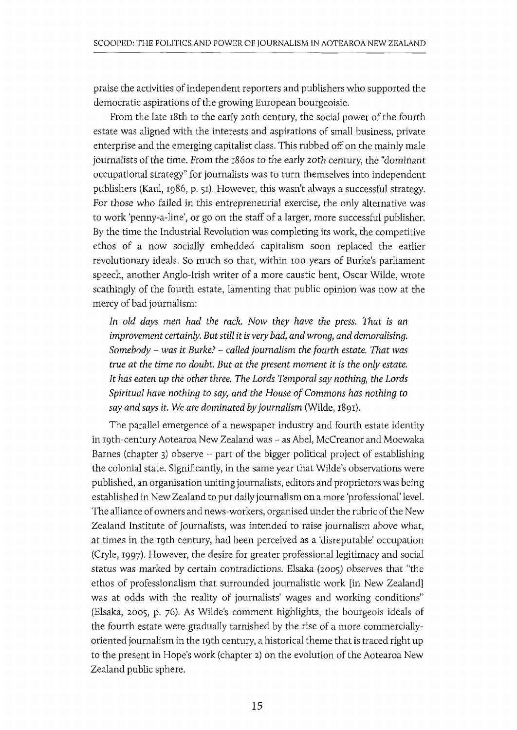praise the activities of independent reporters and publishers who supported the democratic aspirations of the growing European bourgeoisie.

From the late 18th to the early 20th century, the social power of the fourth estate was aligned with the interests and aspirations of small business, private enterprise and the emerging capitalist class. This rubbed off on the mainly male journalists of the time. From the r860s to the early 20th century, the "dominant occupational strategy" for journalists was to turn themselves into independent publishers (Kaul, 1986, p. 51). However, this wasn't always a successful strategy. For those who failed in this entrepreneurial exercise, the only alternative was to work 'penny-a-line', or go on the staff of a larger, more successful publisher. By the time the Industrial Revolution was completing its work, the competitive ethos of a now socially embedded capitalism soon replaced the earlier revolutionary ideals. So much so that, within 100 years of Burke's parliament speech, another Anglo-Irish writer of a more caustic bent, Oscar Wilde, wrote scathingly of the fourth estate, lamenting that public opinion was now at the mercy of bad journalism:

*In old days men had the rack. Now they have the press. That* is *an improvement certainly. But still it is very bad*j *and wrong, and demoralising. Somebody* - *was* it *Burke?* - *called journalism the fourth estate. That was true at the time no doubt. But at the present moment* it *is the only estate. It has eaten up the other three. The Lords Temporal say nothing, the Lords Spiritual have nothing to say, and the House of Commons has nothing to say and says it.* We *are dominated by journalism* (Wilde, 1891).

The parallel emergence of a newspaper industry and fourth estate identity in 19th-century Aotearoa New Zealand was - as Abel, McCreanor and Moewaka Barnes (chapter 3) observe  $\sim$  part of the bigger political project of establishing the colonial state. Significantly, in the same year that Wilde's observations were published, an organisation uniting journalists, editors and proprietors was being established in New Zealand to put daily journalism on a more 'professional' level. The alliance of owners and news-workers, organised under the rubric of the New Zealand Institute of Journalists, was intended to raise journalism above what, at times in the 19th century, had been perceived as a 'disreputable' occupation (Cryle, 1997). However, the desire for greater professional legitimacy and social status was marked by certain contradictions. Elsaka (2005) observes that "the ethos of professionalism that surrounded journalistic work [in New Zealand] was at odds with the reality of journalists' wages and working conditions" (Elsaka, 2005, p. 76). As Wilde's comment highlights, the bourgeois ideals of the fourth estate were gradually tarnished by the rise of a more commerciallyoriented journalism in the 19th century, a historical theme that is traced right up to the present in Hope's work (chapter 2) on the evolution of the Aotearoa New Zealand public sphere.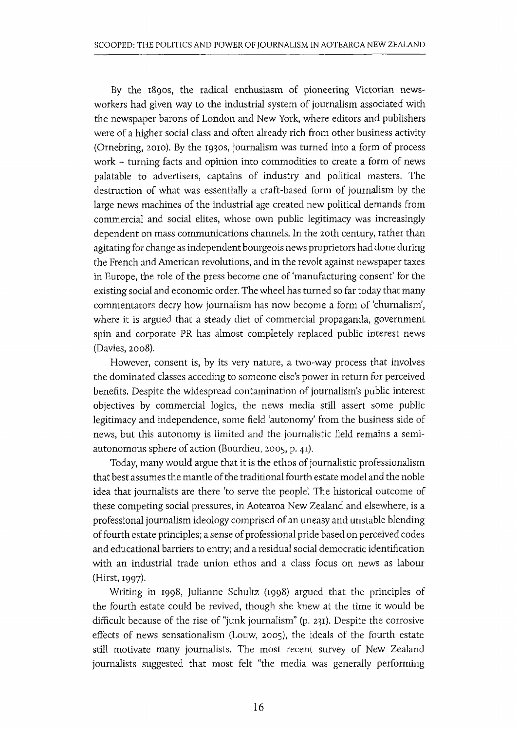By the r890s, the radical enthusiasm of pioneering Victorian newsworkers had given way to the industrial system of journalism associated with the newspaper barons of London and New York, where editors and publishers were of a higher social class and often already rich from other business activity (Ornebring, 2010). By the 1930S, journalism was turned into a form of process work - turning facts and opinion into commodities to create a form of news palatable to advertisers, captains of industry and political masters. The destruction of what was essentially a craft-based form of journalism by the large news machines of the industrial age created new political demands from commercial and social elites, whose own public legitimacy was increasingly dependent on mass communications channels. In the 20th century, rather than agitating for change as independent bourgeois news proprietors had done during the French and American revolutions, and in the revolt against newspaper taxes in Europe, the role of the press become one of 'manufacturing consent' for the existing social and economic order. The wheel has turned so far today that many commentators decry how journalism has now become a form of 'churnalism', where it is argued that a steady diet of commercial propaganda, government spin and corporate PR has almost completely replaced public interest news (Davies, 2008).

However, consent is, by its very nature, a two-way process that involves the dominated classes acceding to someone else's power in return for perceived benefits. Despite the widespread contamination of journalism's public interest objectives by commercial logics, the news media still assert some public legitimacy and independence, some field 'autonomy' from the business side of news, but this autonomy is limited and the journalistic field remains a semiautonomous sphere of action (Bourdieu, 2005, p. 41).

Today, many would argue that it is the ethos of journalistic professionalism that best assumes the mantle of the traditional fourth estate model and the noble idea that journalists are there 'to serve the people'. The historical outcome of these competing social pressures, in Aotearoa New Zealand and elsewhere, is a professional journalism ideology comprised of an uneasy and unstable blending of fourth estate principles; a sense of professional pride based on perceived codes and educational barriers to entry; and a residual social democratic identification with an industrial trade union ethos and a class focus on news as labour (Hirst, 1997).

Writing in 1998, Julianne Schultz (1998) argued that the principles of the fourth estate could be revived, though she knew at the time it would be difficult because of the rise of "junk journalism" (p. 231). Despite the corrosive effects of news sensationalism (Louw, 2005), the ideals of the fourth estate still motivate many journalists. The most recent survey of New Zealand journalists suggested that most felt "the media was generally performing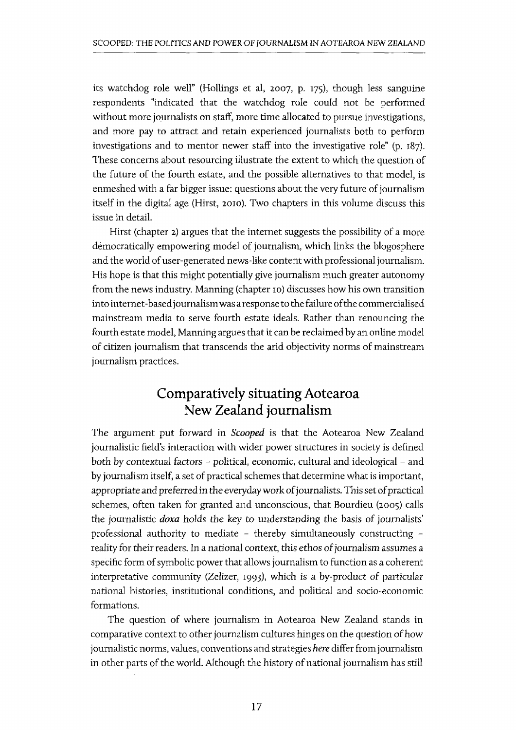its watchdog role well" (Hollings et al, 2007, p. 175), though less sanguine respondents "indicated that the watchdog role could not be performed without more journalists on staff, more time allocated to pursue investigations, and more pay to attract and retain experienced journalists both to perform investigations and to mentor newer staff into the investigative role" (p. r87). These concerns about resourcing illustrate the extent to which the question of the future of the fourth estate, and the possible alternatives to that model, is enmeshed with a far bigger issue: questions about the very future of journalism itself in the digital age (Hirst, 2010). Two chapters in this volume discuss this issue in detail.

Hirst (chapter 2) argues that the internet suggests the possibility of a more democratically empowering model of journalism, which links the blogosphere and the world of user-generated news-like content with professional journalism. His hope is that this might potentially give journalism much greater autonomy from the news industry. Manning (chapter ro) discusses how his own transition into internet-based journalism was a response to the failure of the commercialised mainstream media to serve fourth estate ideals. Rather than renouncing the fourth estate model, Manning argues that it can be reclaimed by an online model of citizen journalism that transcends the arid objectivity norms of mainstream journalism practices.

## **Comparatively situating Aotearoa New Zealand journalism**

The argument put forward in *Scooped* is that the Aotearoa New Zealand journalistic field's interaction with wider power structures in society is defined both by contextual factors - political, economic, cultural and ideological - and by journalism itself, a set of practical schemes that determine what is important, appropriate and preferred in the everyday work of journalists. This set of practical schemes, often taken for granted and unconscious, that Bourdieu (2005) calls the journalistic *doxa* holds the key to understanding the basis of journalists' professional authority to mediate - thereby simultaneously constructing reality for their readers. In a national context, this ethos of journalism assumes a specific form of symbolic power that allows journalism to function as a coherent interpretative community (Zelizer, 1993), which is a by-product of particular national histories, institutional conditions, and political and socio-economic formations.

The question of where journalism in Aotearoa New Zealand stands in comparative context to other journalism cultures hinges on the question of how journalistic norms, values, conventions and strategies *here* differ from journalism in other parts of the world. Although the history of national journalism has still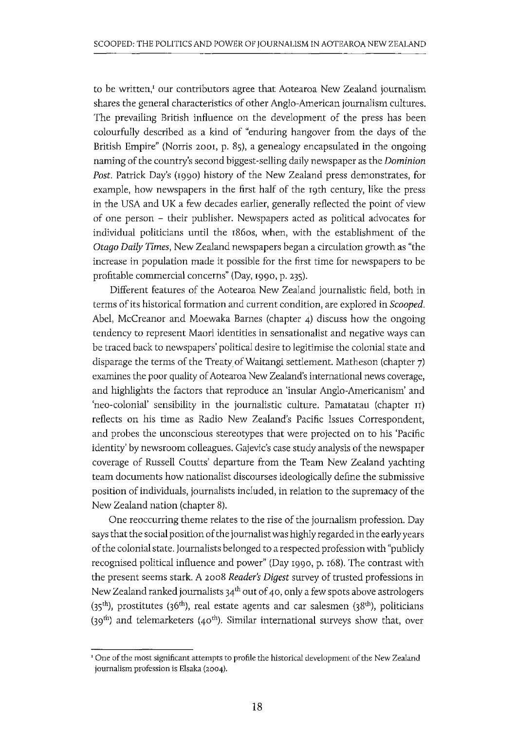to be written,<sup>I</sup> our contributors agree that Aotearoa New Zealand journalism shares the general characteristics of other Anglo-American journalism cultures. The prevailing British influence on the development of the press has been colourfully described as a kind of "enduring hangover from the days of the British Empire" (Norris 2001, p. 85), a genealogy encapsulated in the ongoing naming of the country's second biggest-selling daily newspaper as the *Dominion Post.* Patrick Day's (1990) history of the New Zealand press demonstrates, for example, how newspapers in the first half of the 19th century, like the press in the USA and UK a few decades earlier, generally reflected the point of view of one person - their publisher. Newspapers acted as political advocates for individual politicians until the r860s, when, with the establishment of the *Otago Daily Times,* New Zealand newspapers began a circulation growth as "the increase in population made it possible for the first time for newspapers to be profitable commercial concerns" (Day, 1990, p. 235).

Different features of the Aotearoa New Zealand journalistic field, both in terms of its historical formation and current condition, are explored in *Scooped.*  Abel, McCreanor and Moewaka Barnes (chapter 4) discuss how the ongoing tendency to represent Maori identities in sensationalist and negative ways can be traced back to newspapers' political desire to legitimise the colonial state and disparage the terms of the Treaty of Waitangi settlement. Matheson (chapter 7) examines the poor quality of Aotearoa New Zealand's international news coverage, and highlights the factors that reproduce an 'insular Anglo-Americanism' and 'neo-colonial' sensibility in the journalistic culture. Pamatatau (chapter II) reflects on his time as Radio New Zealand's Pacific Issues Correspondent, and probes the unconscious stereotypes that were projected on to his 'Pacific identity' by newsroom colleagues. Gajevic's case study analysis of the newspaper coverage of Russell Coutts' departure from the Team New Zealand yachting team documents how nationalist discourses ideologically define the submissive position of individuals, journalists included, in relation to the supremacy of the New Zealand nation (chapter 8).

One reoccurring theme relates to the rise of the journalism profession. Day says that the social position of the journalist was highly regarded in the early years of the colonial state. Journalists belonged to a respected profession with "publicly recognised political influence and power" (Day 1990, p. 168). The contrast with the present seems stark. A 2008 *Reader's Digest* survey of trusted professions in New Zealand ranked journalists  $34<sup>th</sup>$  out of 40, only a few spots above astrologers  $(35<sup>th</sup>)$ , prostitutes (36<sup>th</sup>), real estate agents and car salesmen (38<sup>th</sup>), politicians (39<sup>th</sup>) and telemarketers (40<sup>th</sup>). Similar international surveys show that, over

<sup>&#</sup>x27; One of the most significant attempts to profile the historical development of the New Zealand journalism profession is Elsaka (2004).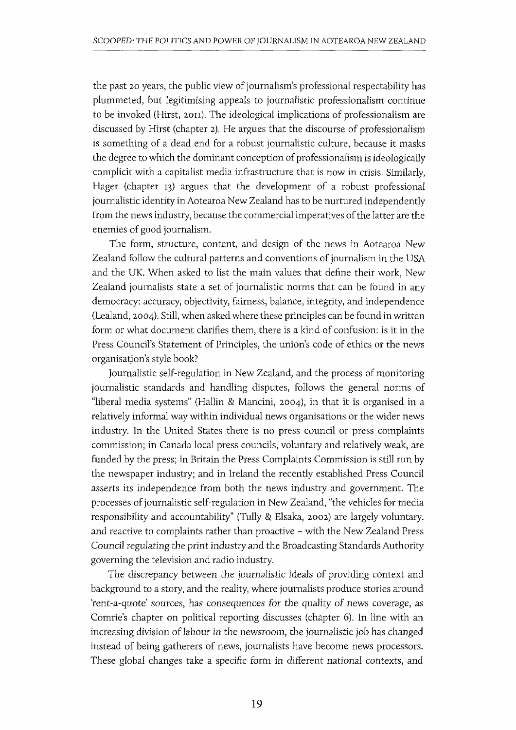the past 20 years, the public view of journalism's professional respectability has plummeted, but legitimising appeals to journalistic professionalism continue to be invoked (Hirst, 20I1). The ideological implications of professionalism are discussed by Hirst (chapter 2). He argues that the discourse of professionalism is something of a dead end for a robust journalistic culture, because it masks the degree to which the dominant conception of professionalism is ideologically complicit with a capitalist media infrastructure that is now in crisis. Similarly, Hager (chapter 13) argues that the development of a robust professional journalistic identity in Aotearoa New Zealand has to be nurtured independently from the news industry, because the commercial imperatives of the latter are the enemies of good journalism.

The form, structure, content, and design of the news in Aotearoa New Zealand follow the cultural patterns and conventions of journalism in the USA and the UK. When asked to list the main values that define their work, New Zealand journalists state a set of journalistic norms that can be found in any democracy: accuracy, objectivity, fairness, balance, integrity, and independence (Lealand, 2004). Still, when asked where these principles can be found in written form or what document clarifies them, there is a kind of confusion: is it in the Press Council's Statement of Principles, the union's code of ethics or the news organisation's style book?

Journalistic self-regulation in New Zealand, and the process of monitoring journalistic standards and handling disputes, follows the general norms of "liberal media systems" (Hallin & Mancini, 2004), in that it is organised in a relatively informal way within individual news organisations or the wider news industry. In the United States there is no press council or press complaints commission; in Canada local press councils, voluntary and relatively weak, are funded by the press; in Britain the Press Complaints Commission is still run by the newspaper industry; and in Ireland the recently established Press Council asserts its independence from both the news industry and government. The processes of journalistic self-regulation in New Zealand, "the vehicles for media responsibility and accountability" (Tully & Elsaka, 2002) are largely voluntary. and reactive to complaints rather than proactive - with the New Zealand Press Council regulating the print industry and the Broadcasting Standards Authority governing the television and radio industry.

The discrepancy between the journalistic ideals of providing context and background to a story, and the reality, where journalists produce stories around 'rent-a-quote' sources, has consequences for the quality of news coverage, as Comrie's chapter on political reporting discusses (chapter 6). In line with an increasing division of labour in the newsroom, the journalistic job has changed instead of being gatherers of news, journalists have become news processors. These global changes take a specific form in different national contexts, and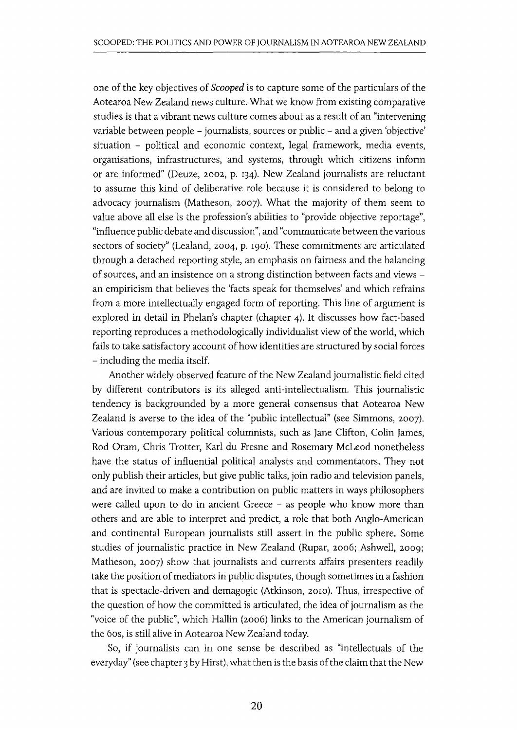one of the key objectives of *Scooped* is to capture some of the particulars of the Aotearoa New Zealand news culture. What we know from existing comparative studies is that a vibrant news culture comes about as a result of an "intervening variable between people - journalists, sources or public - and a given 'objective' situation - political and economic context, legal framework, media events, organisations, infrastructures, and systems, through which citizens inform or are informed" (Deuze, 2002, p. I34). New Zealand journalists are reluctant to assume this kind of deliberative role because it is considered to belong to advocacy journalism (Matheson, 2007). What the majority of them seem to value above all else is the profession's abilities to "provide objective reportage", "influence public debate and discussion", and "communicate between the various sectors of society" (Lealand, 2004, p. I90). These commitments are articulated through a detached reporting style, an emphasis on fairness and the balancing of sources, and an insistence on a strong distinction between facts and views an empiricism that believes the 'facts speak for themselves' and which refrains from a more intellectually engaged form of reporting. This line of argument is explored in detail in Phelan's chapter (chapter 4). It discusses how fact-based reporting reproduces a methodologically individualist view of the world, which fails to take satisfactory account of how identities are structured by social forces - including the media itself.

Another widely observed feature of the New Zealand journalistic field cited by different contributors is its alleged anti-intellectualism. This journalistic tendency is backgrounded by a more general consensus that Aotearoa New Zealand is averse to the idea of the "public intellectual" (see Simmons, 2007). Various contemporary political columnists, such as Jane Clifton, Colin James, Rod Oram, Chris Trotter, Karl du Fresne and Rosemary McLeod nonetheless have the status of influential political analysts and commentators. They not only publish their articles, but give public talks, join radio and television panels, and are invited to make a contribution on public matters in ways philosophers were called upon to do in ancient Greece - as people who know more than others and are able to interpret and predict, a role that both Anglo-American and continental European journalists still assert in the public sphere. Some studies of journalistic practice in New Zealand (Rupar, 2006; Ashwell, 2009; Matheson, 2007) show that journalists and currents affairs presenters readily take the position of mediators in public disputes, though sometimes in a fashion that is spectacle-driven and demagogic (Atkinson, 20ra). Thus, irrespective of the question of how the committed is articulated, the idea of journalism as the "voice of the public", which Hallin (2006) links to the American journalism of the 60S, is still alive in Aotearoa New Zealand today.

So, if journalists can in one sense be described as "intellectuals of the everyday" (see chapter 3 by Hirst), what then is the basis of the claim that the New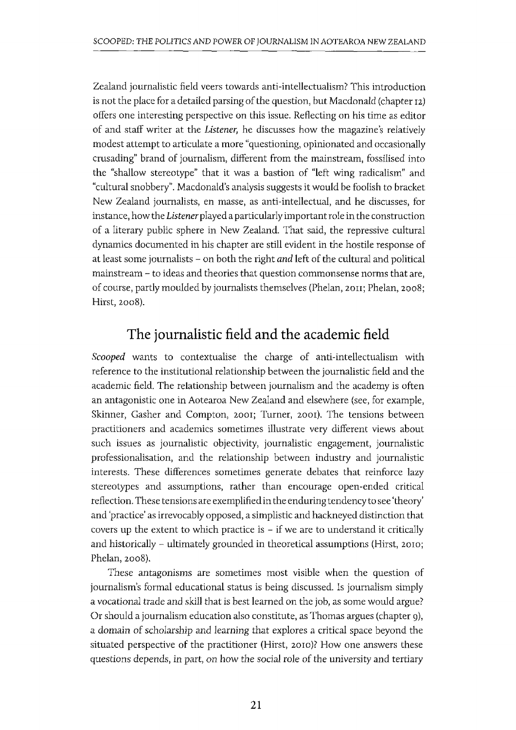Zealand journalistic field veers towards anti-intellectualism? This introduction is not the place for a detailed parsing of the question, but Macdonald (chapter IZ) offers one interesting perspective on this issue. Reflecting on his time as editor of and staff writer at the *Listener,* he discusses how the magazine's relatively modest attempt to articulate a more "questioning, opinionated and occasionally crusading" brand of journalism, different from the mainstream, fossilised into the "shallow stereotype" that it was a bastion of "left wing radicalism" and "cultural snobbery". Macdonald's analysis suggests it would be foolish to bracket New Zealand journalists, en masse, as anti-intellectual, and he discusses, for instance, how the *Listener* played a particularly important role in the construction of a literary public sphere in New Zealand. That said, the repressive cultural dynamics documented in his chapter are still evident in the hostile response of at least some journalists - on both the right *and* left of the cultural and political mainstream - to ideas and theories that question commonsense norms that are, of course, partly moulded by journalists themselves (Phelan, zon; Phelan, 2008; Hirst, 2008).

# **The journalistic field and the academic field**

*Scooped* wants to contextualise the charge of anti-intellectualism with reference to the institutional relationship between the journalistic field and the academic field. The relationship between journalism and the academy is often an antagonistic one in Aotearoa New Zealand and elsewhere (see, for example, Skinner, Gasher and Compton, 2001; Turner, 2001). The tensions between practitioners and academics sometimes illustrate very different views about such issues as journalistic objectivity, journalistic engagement, journalistic professionalisation, and the relationship between industry and journalistic interests. These differences sometimes generate debates that reinforce lazy stereotypes and assumptions, rather than encourage open-ended critical reflection. These tensions are exemplified in the enduring tendency to see 'theory' and 'practice' as irrevocably opposed, a simplistic and hackneyed distinction that covers up the extent to which practice is  $-$  if we are to understand it critically and historically - ultimately grounded in theoretical assumptions (Hirst, 2010; Phelan, 2008).

These antagonisms are sometimes most visible when the question of journalism's formal educational status is being discussed. Is journalism simply a vocational trade and skill that is best learned on the job, as some would argue? Or should a journalism education also constitute, as Thomas argues (chapter 9), a domain of scholarship and learning that explores a critical space beyond the situated perspective of the practitioner (Hirst, 2010)? How one answers these questions depends, in part, on how the social role of the university and tertiary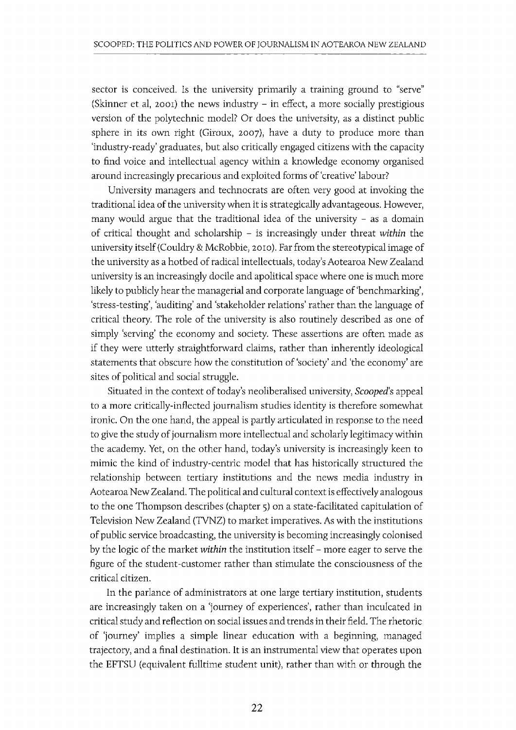sector is conceived. Is the university primarily a training ground to "serve" (Skinner et al, 2001) the news industry  $-$  in effect, a more socially prestigious version of the polytechnic model? Or does the university, as a distinct public sphere in its own right (Giroux, 2007), have a duty to produce more than 'industry-ready' graduates, but also critically engaged citizens with the capacity to find voice and intellectual agency within a knowledge economy organised around increasingly precarious and exploited forms of 'creative' labour?

University managers and technocrats are often very good at invoking the traditional idea of the university when it is strategically advantageous. However, many would argue that the traditional idea of the university  $-$  as a domain of critical thought and scholarship - is increasingly under threat *within* the university itself (Couldry & McRobbie, 20ro). Far from the stereotypical image of the university as a hotbed of radical intellectuals, today's Aotearoa New Zealand university is an increasingly docile and apolitical space where one is much more likely to publicly hear the managerial and corporate language of 'benchmarking', 'stress-testing', 'auditing' and 'stakeholder relations' rather than the language of critical theory. The role of the university is also routinely described as one of simply 'serving' the economy and society. These assertions are often made as if they were utterly straightforward claims, rather than inherently ideological statements that obscure how the constitution of 'society' and 'the economy' are sites of political and social struggle.

Situated in the context of today's neoliberalised university, *Scooped's* appeal to a more critically-inflected journalism studies identity is therefore somewhat ironic. On the one hand, the appeal is partly articulated in response to the need to give the study of journalism more intellectual and scholarly legitimacy within the academy. Yet, on the other hand, today's university is increasingly keen to mimic the kind of industry-centric model that has historically structured the relationship between tertiary institutions and the news media industry in Aotearoa New Zealand. The political and cultural context is effectively analogous to the one Thompson describes (chapter 5) on a state-facilitated capitulation of Television New Zealand (TVNZ) to market imperatives. As with the institutions of public service broadcasting, the university is becoming increasingly colonised by the logic of the market *within* the institution itself - more eager to serve the figure of the student-customer rather than stimulate the consciousness of the critical citizen.

In the parlance of administrators at one large tertiary institution, students are increasingly taken on a 'journey of experiences', rather than inculcated in critical study and reflection on social issues and trends in their field. The rhetoric of 'journey' implies a simple linear education with a beginning, managed trajectory, and a final destination. It is an instrumental view that operates upon the EFTSU (equivalent fulltime student unit), rather than with or through the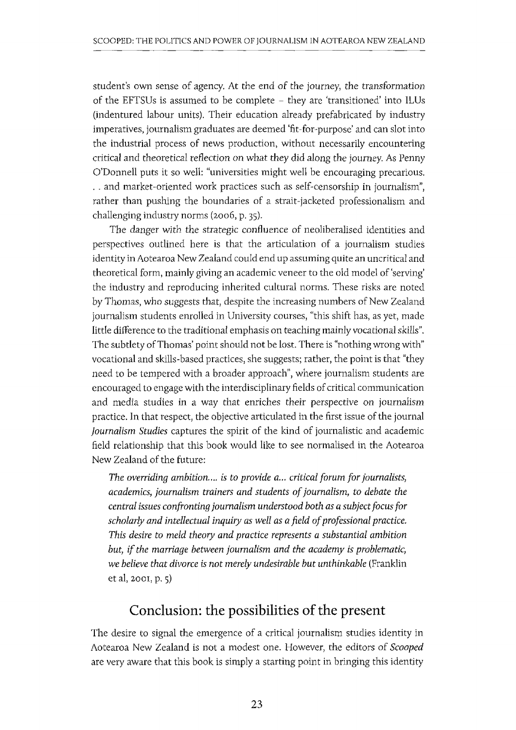student's own sense of agency, At the end of the journey, the transformation of the EFTSUs is assumed to be complete - they are 'transitioned' into ILUs (indentured labour units), Their education already prefabricated by industry imperatives, journalism graduates are deemed 'fit-for-purpose' and can slot into the industrial process of news production, without necessarily encountering critical and theoretical reflection on what they did along the journey, As Penny O'Donnell puts it so well: "universities might well be encouraging precarious, , . and market-oriented work practices such as self-censorship in journalism", rather than pushing the boundaries of a strait-jacketed professionalism and challenging industry norms (2006, p, 35).

The danger with the strategic confluence of neoliberalised identities and perspectives outlined here is that the articulation of a journalism studies identity in Aotearoa New Zealand could end up assuming quite an uncritical and theoretical form, mainly giving an academic veneer to the old model of 'serving' the industry and reproducing inherited cultural norms. These risks are noted by Thomas, who suggests that, despite the increasing numbers of New Zealand journalism students enrolled in University courses, "this shift has, as yet, made little difference to the traditional emphasis on teaching mainly vocational skills", The subtlety of Thomas' point should not be lost. There is "nothing wrong with" vocational and skills-based practices, she suggests; rather, the point is that "they need to be tempered with a broader approach", where journalism students are encouraged to engage with the interdisciplinary fields of critical communication and media studies in a way that enriches their perspective on journalism practice, In that respect, the objective articulated in the first issue of the journal *Journalism Studies* captures the spirit of the kind of journalistic and academic field relationship that this book would like to see normalised in the Aotearoa New Zealand of the future:

The overriding ambition.... is to provide a... critical forum for journalists, *academics, journalism trainers and students of journalism, to debate the central issues confronting journalism understood both as a subject focus for scholarly and intellectual inquiry as well as a field of professional practice, This desire to meld theory and practice represents a substantial ambition but, if the marriage between journalism and the academy is problematic, we believe that divorce is not merely undesirable but unthinkable* (Franklin et aI, 2001, p. 5)

## **Conclusion: the possibilities of the present**

The desire to signal the emergence of a critical journalism studies identity in Aotearoa New Zealand is not a modest one. However, the editors of *Scooped*  are very aware that this book is simply a starting point in bringing this identity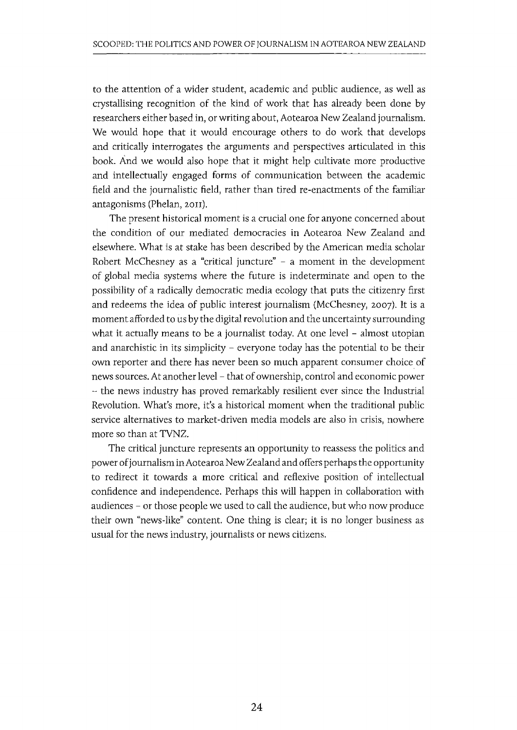to the attention of a wider student, academic and public audience, as well as crystallising recognition of the kind of work that has already been done by researchers either based in, or writing about, Aotearoa New Zealand journalism. We would hope that it would encourage others to do work that develops and critically interrogates the arguments and perspectives articulated in this book. And we would also hope that it might help cultivate more productive and intellectually engaged forms of communication between the academic field and the journalistic field, rather than tired re-enactments of the familiar antagonisms (Phelan, 2011).

The present historical moment is a crucial one for anyone concerned about the condition of our mediated democracies in Aotearoa New Zealand and elsewhere. What is at stake has been described by the American media scholar Robert McChesney as a "critical juncture" - a moment in the development of global media systems where the future is indeterminate and open to the possibility of a radically democratic media ecology that puts the citizenry first and redeems the idea of public interest journalism (McChesney, 2007). It is a moment afforded to us by the digital revolution and the uncertainty surrounding what it actually means to be a journalist today. At one level - almost utopian and anarchistic in its simplicity  $-$  everyone today has the potential to be their own reporter and there has never been so much apparent consumer choice of news sources. At another level- that of ownership, control and economic power - the news industry has proved remarkably resilient ever since the Industrial Revolution. What's more, it's a historical moment when the traditional public service alternatives to market-driven media models are also in crisis, nowhere more so than at TVNZ.

The critical juncture represents an opportunity to reassess the politics and power of journalism in Aotearoa New Zealand and offers perhaps the opportunity to redirect it towards a more critical and reflexive position of intellectual confidence and independence. Perhaps this will happen in collaboration with audiences - or those people we used to call the audience, but who now produce their own "news-like" content. One thing is clear; it is no longer business as usual for the news industry, journalists or news citizens.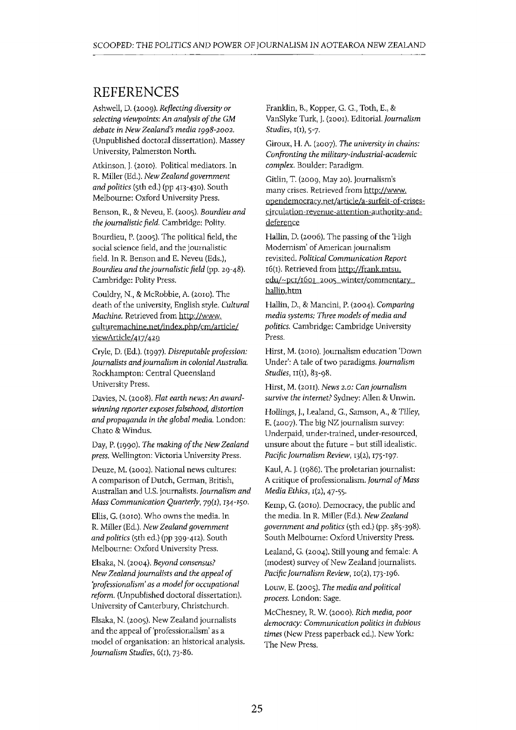### **REFERENCES**

Ashwell, D. (2009). *Reflecting diversity or selecting viewpoints: An analysis of the GM debate in New Zealand's media I998-2002.*  (Unpublished doctoral dissertation). Massey University, Palmerston North.

Atkinson, j. (20IO). Political mediators. In R. Miller (Ed.). *New Zealand government and politics* (5th ed.) (pp 413-430). South Melbourne: Oxford University Press.

Benson, R., & Neveu, E. (2005). *Bourdieu and the journalistic field.* Cambridge: Polity.

Bourdieu, P. (2005). The political field, the social science field, and the journalistic field. In R. Benson and E. Neveu (Eds.), *Bourdieu and the journalistic field* (pp. 29-48). Cambridge: Polity Press.

Couldry, N., & McRobbie, A. (20ro). The death of the university, English style. *Cultural Machine.* Retrieved from http://www. culturemachine.net/index.php/cm/article/ *viewArticle/4*<sup>I</sup> z/42 *9* 

Cryle, D. (Ed.). (1997). *Disreputable profession: Journalists and journalism in colonial Australia.*  Rockhampton: Central Queensland University Press.

Davies, N. (2008). *Flat earth news: An awardwinning reporter exposes falsehood, distortion and propaganda in the global media.* London: Chato & Windus.

Day, P. (1990). *The making of the New Zealand press.* Wellington: Victoria University Press.

Deuze, M. (2002). National news cultures: A comparison of Dutch, German, British, Australian and u.s. journalists. *Journalism and Mass Communication Quarterly,* 79(1), *134-150.* 

Ellis, G. (20ro), Who owns the media. In R. Miller (Ed.). *New Zealand government and politics* (5th ed.) (pp 399-412). South Melbourne: Oxford University Press.

Elsaka, N. (2004). *Beyond consensus? New Zealand journalists and the appeal of 'professionalism' as a model for occupational reform.* (Unpublished doctoral dissertation), University of Canterbury, Christchurch.

Elsaka, N. (2005). New Zealand journalists and the appeal of 'professionalism' as a model of organisation: an historical analysis. *Journalism Studies,* 6(1), 73-86.

Franklin, B., Kopper, G. G., Toth, E., & VanSlyke Turk, j. (200I). Editorial. *Journalism Studies,* 1(1), 5-7.

Giroux, H. A (2007). *The university in chains: Confronting the military-industrial-academic complex.* Boulder: Paradigm.

Gitlin, T. (2009, May 20). Journalism's many crises. Retrieved from http://www. opendemocracy.net/article/a -surfeit -of-crisescirculation -revenue-attention-authority-anddeference

Hallin, D. (2006). The passing of the 'High Modernism' of American journalism revisited. *Political Communication Report*  16(1). Retrieved from http://frank.mtsu. edu/~pcr/1601\_2005\_winter/commentary hallin.htm

Hallin, D., & Mancini, P. (2004). *Comparing media systems; Three models of media and politics.* Cambridge: Cambridge University Press.

Hirst, M. (2010). Journalism education 'Down Under': A tale of two paradigms. *Journalism Studies,* II(I), 83-98.

Hirst, M. (20Il). *News 2.0: Can journalism survive the internet?* Sydney: Allen & Unwin.

Hollings, 1., Lealand, G., Samson, A., & Tilley, E. (2007). The big NZ journalism survey: Underpaid, under-trained, under-resourced, unsure about the future - but still idealistic. *Pacific Journalism Review,* 13(2), 175 -197.

Kaul, A j. (1986). The proletarian journalist: A critique of professionalism. *Journal of Mass Media Ethics*,  $I(2)$ , 47-55.

Kemp, G. (2010). Democracy, the public and the media. In R. Miller (Ed.). *New Zealand government and politics* (5th ed.) (pp. 385-398). South Melbourne: Oxford University Press.

Lealand, G. (2004). Still young and female: A (modest) survey of New Zealand journalists. *Pacific Journalism Review,* ro(2), 173-I96.

Louw, E. (2005). *The media and political process.* London: Sage.

McChesney, R. W. (2000). *Rich media, poor democracy: Communication politics in dubious times* (New Press paperback ed.). New York: The New Press.